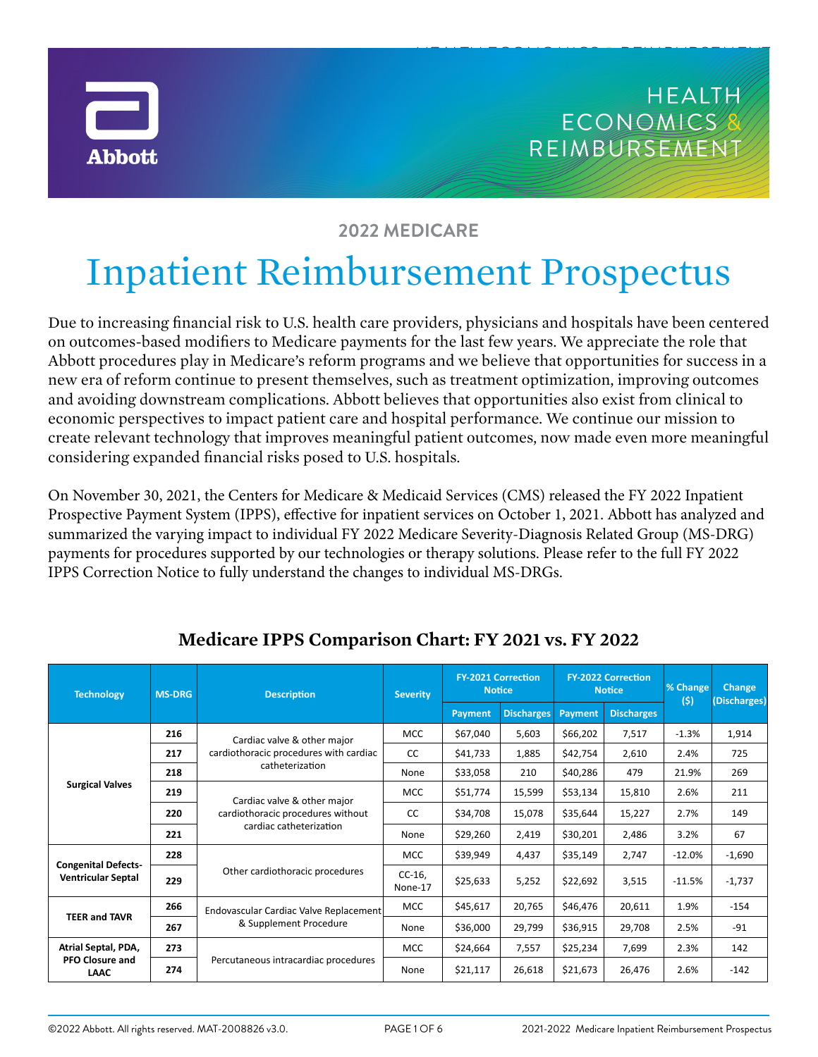



HEALTH ECONOMICS & REIMBURSEMENT

# **2022 MEDICARE**

# Inpatient Reimbursement Prospectus

Due to increasing financial risk to U.S. health care providers, physicians and hospitals have been centered on outcomes-based modifiers to Medicare payments for the last few years. We appreciate the role that Abbott procedures play in Medicare's reform programs and we believe that opportunities for success in a new era of reform continue to present themselves, such as treatment optimization, improving outcomes and avoiding downstream complications. Abbott believes that opportunities also exist from clinical to economic perspectives to impact patient care and hospital performance. We continue our mission to create relevant technology that improves meaningful patient outcomes, now made even more meaningful considering expanded financial risks posed to U.S. hospitals.

On November 30, 2021, the Centers for Medicare & Medicaid Services (CMS) released the FY 2022 Inpatient Prospective Payment System (IPPS), effective for inpatient services on October 1, 2021. Abbott has analyzed and summarized the varying impact to individual FY 2022 Medicare Severity-Diagnosis Related Group (MS-DRG) payments for procedures supported by our technologies or therapy solutions. Please refer to the full FY 2022 IPPS Correction Notice to fully understand the changes to individual MS-DRGs.

| <b>Technology</b>                                            | <b>MS-DRG</b> | <b>Description</b>                                                                          | <b>Severity</b>    | <b>FY-2021 Correction</b><br><b>Notice</b> |                   | <b>FY-2022 Correction</b><br><b>Notice</b> |                   | % Change<br>(5) | Change<br>(Discharges) |
|--------------------------------------------------------------|---------------|---------------------------------------------------------------------------------------------|--------------------|--------------------------------------------|-------------------|--------------------------------------------|-------------------|-----------------|------------------------|
|                                                              |               |                                                                                             |                    | <b>Payment</b>                             | <b>Discharges</b> | Payment                                    | <b>Discharges</b> |                 |                        |
| <b>Surgical Valves</b>                                       | 216           | Cardiac valve & other major<br>cardiothoracic procedures with cardiac<br>catheterization    | <b>MCC</b>         | \$67,040                                   | 5,603             | \$66,202                                   | 7,517             | $-1.3%$         | 1,914                  |
|                                                              | 217           |                                                                                             | <b>CC</b>          | \$41,733                                   | 1,885             | \$42,754                                   | 2,610             | 2.4%            | 725                    |
|                                                              | 218           |                                                                                             | None               | \$33,058                                   | 210               | \$40,286                                   | 479               | 21.9%           | 269                    |
|                                                              | 219           | Cardiac valve & other major<br>cardiothoracic procedures without<br>cardiac catheterization | <b>MCC</b>         | \$51,774                                   | 15,599            | \$53,134                                   | 15,810            | 2.6%            | 211                    |
|                                                              | 220           |                                                                                             | <sub>CC</sub>      | \$34,708                                   | 15,078            | \$35,644                                   | 15,227            | 2.7%            | 149                    |
|                                                              | 221           |                                                                                             | None               | \$29,260                                   | 2,419             | \$30,201                                   | 2,486             | 3.2%            | 67                     |
| <b>Congenital Defects-</b><br><b>Ventricular Septal</b>      | 228           | Other cardiothoracic procedures                                                             | <b>MCC</b>         | \$39,949                                   | 4,437             | \$35,149                                   | 2,747             | $-12.0%$        | $-1,690$               |
|                                                              | 229           |                                                                                             | $CC-16$<br>None-17 | \$25,633                                   | 5,252             | \$22,692                                   | 3,515             | $-11.5%$        | $-1,737$               |
| <b>TEER and TAVR</b>                                         | 266           | Endovascular Cardiac Valve Replacement<br>& Supplement Procedure                            | <b>MCC</b>         | \$45,617                                   | 20,765            | \$46,476                                   | 20,611            | 1.9%            | $-154$                 |
|                                                              | 267           |                                                                                             | None               | \$36,000                                   | 29,799            | \$36,915                                   | 29,708            | 2.5%            | -91                    |
| Atrial Septal, PDA,<br><b>PFO Closure and</b><br><b>LAAC</b> | 273           | Percutaneous intracardiac procedures                                                        | <b>MCC</b>         | \$24,664                                   | 7,557             | \$25,234                                   | 7,699             | 2.3%            | 142                    |
|                                                              | 274           |                                                                                             | None               | \$21,117                                   | 26,618            | \$21,673                                   | 26,476            | 2.6%            | $-142$                 |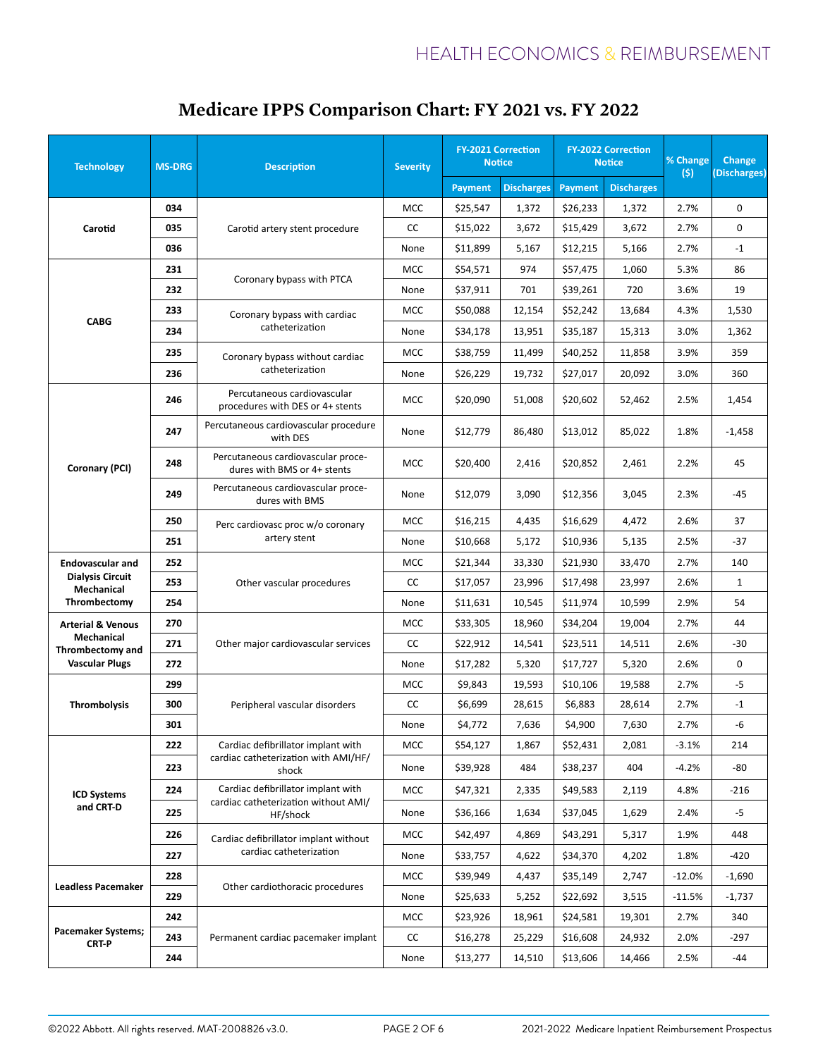| <b>Technology</b>                                                                              | <b>MS-DRG</b> | <b>Description</b>                                                | <b>Severity</b> | <b>FY-2021 Correction</b><br><b>Notice</b> |                   | <b>FY-2022 Correction</b><br><b>Notice</b> |                   | % Change<br>(s) | Change<br>(Discharges) |
|------------------------------------------------------------------------------------------------|---------------|-------------------------------------------------------------------|-----------------|--------------------------------------------|-------------------|--------------------------------------------|-------------------|-----------------|------------------------|
|                                                                                                |               |                                                                   |                 | <b>Payment</b>                             | <b>Discharges</b> | <b>Payment</b>                             | <b>Discharges</b> |                 |                        |
| Carotid                                                                                        | 034           |                                                                   | MCC             | \$25,547                                   | 1,372             | \$26,233                                   | 1,372             | 2.7%            | $\Omega$               |
|                                                                                                | 035           | Carotid artery stent procedure                                    | CC              | \$15,022                                   | 3,672             | \$15,429                                   | 3,672             | 2.7%            | 0                      |
|                                                                                                | 036           |                                                                   | None            | \$11,899                                   | 5,167             | \$12,215                                   | 5,166             | 2.7%            | $-1$                   |
| <b>CABG</b>                                                                                    | 231           | Coronary bypass with PTCA                                         | <b>MCC</b>      | \$54,571                                   | 974               | \$57,475                                   | 1,060             | 5.3%            | 86                     |
|                                                                                                | 232           |                                                                   | None            | \$37,911                                   | 701               | \$39,261                                   | 720               | 3.6%            | 19                     |
|                                                                                                | 233           | Coronary bypass with cardiac<br>catheterization                   | <b>MCC</b>      | \$50,088                                   | 12,154            | \$52,242                                   | 13,684            | 4.3%            | 1,530                  |
|                                                                                                | 234           |                                                                   | None            | \$34,178                                   | 13,951            | \$35,187                                   | 15,313            | 3.0%            | 1,362                  |
|                                                                                                | 235           | Coronary bypass without cardiac                                   | <b>MCC</b>      | \$38,759                                   | 11,499            | \$40,252                                   | 11,858            | 3.9%            | 359                    |
|                                                                                                | 236           | catheterization                                                   | None            | \$26,229                                   | 19,732            | \$27,017                                   | 20,092            | 3.0%            | 360                    |
|                                                                                                | 246           | Percutaneous cardiovascular<br>procedures with DES or 4+ stents   | <b>MCC</b>      | \$20,090                                   | 51,008            | \$20,602                                   | 52,462            | 2.5%            | 1,454                  |
|                                                                                                | 247           | Percutaneous cardiovascular procedure<br>with DES                 | None            | \$12,779                                   | 86,480            | \$13,012                                   | 85,022            | 1.8%            | -1,458                 |
| Coronary (PCI)                                                                                 | 248           | Percutaneous cardiovascular proce-<br>dures with BMS or 4+ stents | <b>MCC</b>      | \$20,400                                   | 2,416             | \$20,852                                   | 2,461             | 2.2%            | 45                     |
|                                                                                                | 249           | Percutaneous cardiovascular proce-<br>dures with BMS              | None            | \$12,079                                   | 3,090             | \$12,356                                   | 3,045             | 2.3%            | -45                    |
|                                                                                                | 250           | Perc cardiovasc proc w/o coronary                                 | <b>MCC</b>      | \$16,215                                   | 4,435             | \$16,629                                   | 4,472             | 2.6%            | 37                     |
|                                                                                                | 251           | artery stent                                                      | None            | \$10,668                                   | 5,172             | \$10,936                                   | 5,135             | 2.5%            | $-37$                  |
| <b>Endovascular and</b>                                                                        | 252           | Other vascular procedures                                         | <b>MCC</b>      | \$21,344                                   | 33,330            | \$21,930                                   | 33,470            | 2.7%            | 140                    |
| <b>Dialysis Circuit</b><br>Mechanical                                                          | 253           |                                                                   | CC              | \$17,057                                   | 23,996            | \$17,498                                   | 23,997            | 2.6%            | $\mathbf{1}$           |
| Thrombectomy                                                                                   | 254           |                                                                   | None            | \$11,631                                   | 10,545            | \$11,974                                   | 10,599            | 2.9%            | 54                     |
| <b>Arterial &amp; Venous</b><br><b>Mechanical</b><br>Thrombectomy and<br><b>Vascular Plugs</b> | 270           |                                                                   | <b>MCC</b>      | \$33,305                                   | 18,960            | \$34,204                                   | 19,004            | 2.7%            | 44                     |
|                                                                                                | 271           | Other major cardiovascular services                               | CC              | \$22,912                                   | 14,541            | \$23,511                                   | 14,511            | 2.6%            | $-30$                  |
|                                                                                                | 272           |                                                                   | None            | \$17,282                                   | 5,320             | \$17,727                                   | 5,320             | 2.6%            | 0                      |
|                                                                                                | 299           | Peripheral vascular disorders                                     | <b>MCC</b>      | \$9,843                                    | 19,593            | \$10,106                                   | 19,588            | 2.7%            | -5                     |
| <b>Thrombolysis</b>                                                                            | 300           |                                                                   | CC              | \$6,699                                    | 28,615            | \$6,883                                    | 28,614            | 2.7%            | $-1$                   |
|                                                                                                | 301           |                                                                   | None            | \$4,772                                    | 7,636             | \$4,900                                    | 7,630             | 2.7%            | -6                     |
| <b>ICD Systems</b><br>and CRT-D                                                                | 222           | Cardiac defibrillator implant with                                | <b>MCC</b>      | \$54,127                                   | 1,867             | \$52,431                                   | 2,081             | $-3.1%$         | 214                    |
|                                                                                                | 223           | cardiac catheterization with AMI/HF/<br>shock                     | None            | \$39,928                                   | 484               | \$38,237                                   | 404               | $-4.2%$         | -80                    |
|                                                                                                | 224           | Cardiac defibrillator implant with                                | <b>MCC</b>      | \$47,321                                   | 2,335             | \$49,583                                   | 2,119             | 4.8%            | $-216$                 |
|                                                                                                | 225           | cardiac catheterization without AMI/<br>HF/shock                  | None            | \$36,166                                   | 1,634             | \$37,045                                   | 1,629             | 2.4%            | $-5$                   |
|                                                                                                | 226           | Cardiac defibrillator implant without                             | <b>MCC</b>      | \$42,497                                   | 4,869             | \$43,291                                   | 5,317             | 1.9%            | 448                    |
|                                                                                                | 227           | cardiac catheterization                                           | None            | \$33,757                                   | 4,622             | \$34,370                                   | 4,202             | 1.8%            | $-420$                 |
| <b>Leadless Pacemaker</b>                                                                      | 228           |                                                                   | <b>MCC</b>      | \$39,949                                   | 4,437             | \$35,149                                   | 2,747             | -12.0%          | $-1,690$               |
|                                                                                                | 229           | Other cardiothoracic procedures                                   | None            | \$25,633                                   | 5,252             | \$22,692                                   | 3,515             | $-11.5%$        | -1,737                 |
|                                                                                                | 242           |                                                                   | <b>MCC</b>      | \$23,926                                   | 18,961            | \$24,581                                   | 19,301            | 2.7%            | 340                    |
| <b>Pacemaker Systems;</b><br><b>CRT-P</b>                                                      | 243           | Permanent cardiac pacemaker implant                               | cc              | \$16,278                                   | 25,229            | \$16,608                                   | 24,932            | 2.0%            | -297                   |
|                                                                                                | 244           |                                                                   | None            | \$13,277                                   | 14,510            | \$13,606                                   | 14,466            | 2.5%            | -44                    |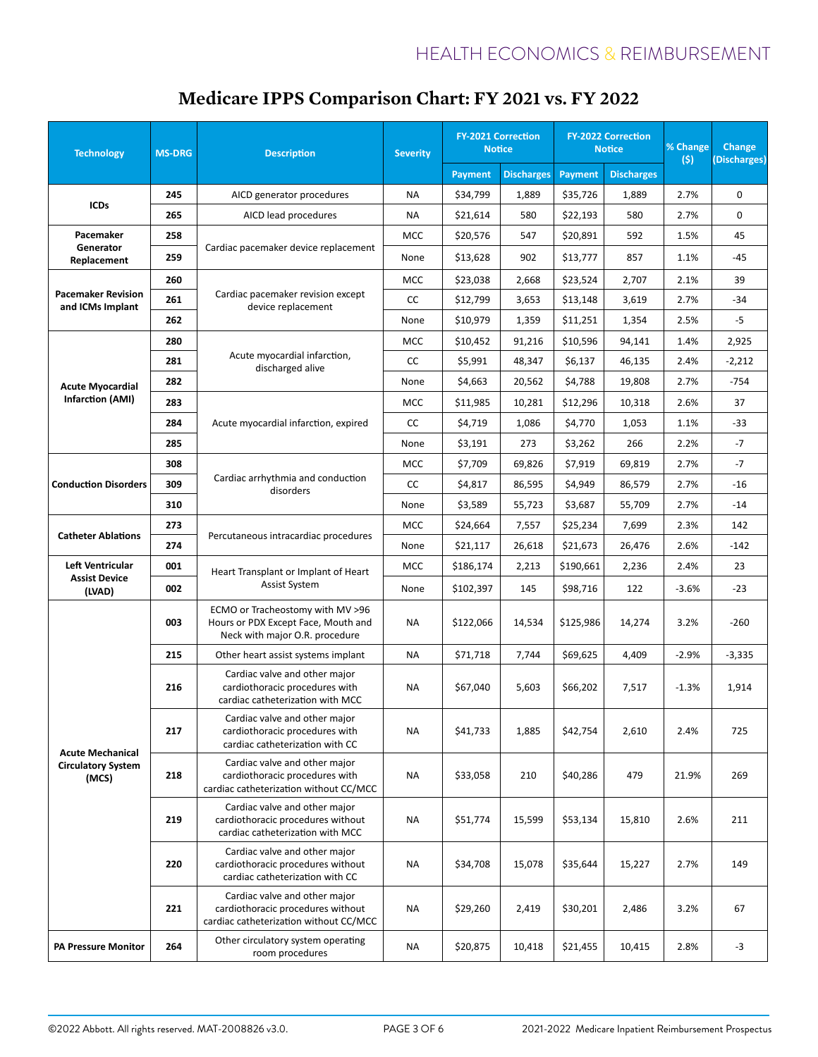| <b>Technology</b>                                             | <b>MS-DRG</b> | <b>Description</b>                                                                                           | <b>Severity</b> | <b>FY-2021 Correction</b><br><b>Notice</b> |                   | <b>FY-2022 Correction</b><br><b>Notice</b> |                   | % Change<br>(5) | Change<br>(Discharges) |
|---------------------------------------------------------------|---------------|--------------------------------------------------------------------------------------------------------------|-----------------|--------------------------------------------|-------------------|--------------------------------------------|-------------------|-----------------|------------------------|
|                                                               |               |                                                                                                              |                 | <b>Payment</b>                             | <b>Discharges</b> | <b>Payment</b>                             | <b>Discharges</b> |                 |                        |
|                                                               | 245           | AICD generator procedures                                                                                    | NA              | \$34,799                                   | 1,889             | \$35,726                                   | 1,889             | 2.7%            | 0                      |
| <b>ICDs</b>                                                   | 265           | AICD lead procedures                                                                                         | <b>NA</b>       | \$21,614                                   | 580               | \$22,193                                   | 580               | 2.7%            | 0                      |
| Pacemaker<br>Generator<br>Replacement                         | 258           | Cardiac pacemaker device replacement                                                                         | <b>MCC</b>      | \$20,576                                   | 547               | \$20,891                                   | 592               | 1.5%            | 45                     |
|                                                               | 259           |                                                                                                              | None            | \$13,628                                   | 902               | \$13,777                                   | 857               | 1.1%            | -45                    |
| <b>Pacemaker Revision</b><br>and ICMs Implant                 | 260           | Cardiac pacemaker revision except<br>device replacement                                                      | <b>MCC</b>      | \$23,038                                   | 2,668             | \$23,524                                   | 2,707             | 2.1%            | 39                     |
|                                                               | 261           |                                                                                                              | CC              | \$12,799                                   | 3,653             | \$13,148                                   | 3,619             | 2.7%            | $-34$                  |
|                                                               | 262           |                                                                                                              | None            | \$10,979                                   | 1,359             | \$11,251                                   | 1,354             | 2.5%            | -5                     |
|                                                               | 280           | Acute myocardial infarction,<br>discharged alive                                                             | <b>MCC</b>      | \$10,452                                   | 91,216            | \$10,596                                   | 94,141            | 1.4%            | 2,925                  |
|                                                               | 281           |                                                                                                              | CC              | \$5,991                                    | 48,347            | \$6,137                                    | 46,135            | 2.4%            | $-2,212$               |
| <b>Acute Myocardial</b>                                       | 282           |                                                                                                              | None            | \$4,663                                    | 20,562            | \$4,788                                    | 19,808            | 2.7%            | $-754$                 |
| <b>Infarction (AMI)</b>                                       | 283           |                                                                                                              | <b>MCC</b>      | \$11,985                                   | 10,281            | \$12,296                                   | 10,318            | 2.6%            | 37                     |
|                                                               | 284           | Acute myocardial infarction, expired                                                                         | CC              | \$4,719                                    | 1,086             | \$4,770                                    | 1,053             | 1.1%            | $-33$                  |
|                                                               | 285           |                                                                                                              | None            | \$3,191                                    | 273               | \$3,262                                    | 266               | 2.2%            | -7                     |
| <b>Conduction Disorders</b>                                   | 308           | Cardiac arrhythmia and conduction<br>disorders                                                               | <b>MCC</b>      | \$7,709                                    | 69,826            | \$7,919                                    | 69,819            | 2.7%            | $-7$                   |
|                                                               | 309           |                                                                                                              | CC              | \$4,817                                    | 86,595            | \$4,949                                    | 86,579            | 2.7%            | $-16$                  |
|                                                               | 310           |                                                                                                              | None            | \$3,589                                    | 55,723            | \$3,687                                    | 55,709            | 2.7%            | $-14$                  |
|                                                               | 273           | Percutaneous intracardiac procedures                                                                         | <b>MCC</b>      | \$24,664                                   | 7,557             | \$25,234                                   | 7,699             | 2.3%            | 142                    |
| <b>Catheter Ablations</b>                                     | 274           |                                                                                                              | None            | \$21,117                                   | 26,618            | \$21,673                                   | 26,476            | 2.6%            | $-142$                 |
| Left Ventricular<br><b>Assist Device</b><br>(LVAD)            | 001           | Heart Transplant or Implant of Heart<br>Assist System                                                        | <b>MCC</b>      | \$186,174                                  | 2,213             | \$190,661                                  | 2,236             | 2.4%            | 23                     |
|                                                               | 002           |                                                                                                              | None            | \$102,397                                  | 145               | \$98,716                                   | 122               | $-3.6%$         | $-23$                  |
|                                                               | 003           | ECMO or Tracheostomy with MV >96<br>Hours or PDX Except Face, Mouth and<br>Neck with major O.R. procedure    | ΝA              | \$122,066                                  | 14,534            | \$125,986                                  | 14,274            | 3.2%            | $-260$                 |
|                                                               | 215           | Other heart assist systems implant                                                                           | <b>NA</b>       | \$71,718                                   | 7,744             | \$69,625                                   | 4,409             | $-2.9%$         | $-3,335$               |
| <b>Acute Mechanical</b><br><b>Circulatory System</b><br>(MCS) | 216           | Cardiac valve and other major<br>cardiothoracic procedures with<br>cardiac catheterization with MCC          | <b>NA</b>       | \$67,040                                   | 5,603             | \$66,202                                   | 7,517             | $-1.3%$         | 1,914                  |
|                                                               | 217           | Cardiac valve and other major<br>cardiothoracic procedures with<br>cardiac catheterization with CC           | <b>NA</b>       | \$41,733                                   | 1,885             | \$42,754                                   | 2,610             | 2.4%            | 725                    |
|                                                               | 218           | Cardiac valve and other major<br>cardiothoracic procedures with<br>cardiac catheterization without CC/MCC    | ΝA              | \$33,058                                   | 210               | \$40,286                                   | 479               | 21.9%           | 269                    |
|                                                               | 219           | Cardiac valve and other major<br>cardiothoracic procedures without<br>cardiac catheterization with MCC       | NA              | \$51,774                                   | 15,599            | \$53,134                                   | 15,810            | 2.6%            | 211                    |
|                                                               | 220           | Cardiac valve and other major<br>cardiothoracic procedures without<br>cardiac catheterization with CC        | NA              | \$34,708                                   | 15,078            | \$35,644                                   | 15,227            | 2.7%            | 149                    |
|                                                               | 221           | Cardiac valve and other major<br>cardiothoracic procedures without<br>cardiac catheterization without CC/MCC | NA              | \$29,260                                   | 2,419             | \$30,201                                   | 2,486             | 3.2%            | 67                     |
| PA Pressure Monitor                                           | 264           | Other circulatory system operating<br>room procedures                                                        | NA              | \$20,875                                   | 10,418            | \$21,455                                   | 10,415            | 2.8%            | $-3$                   |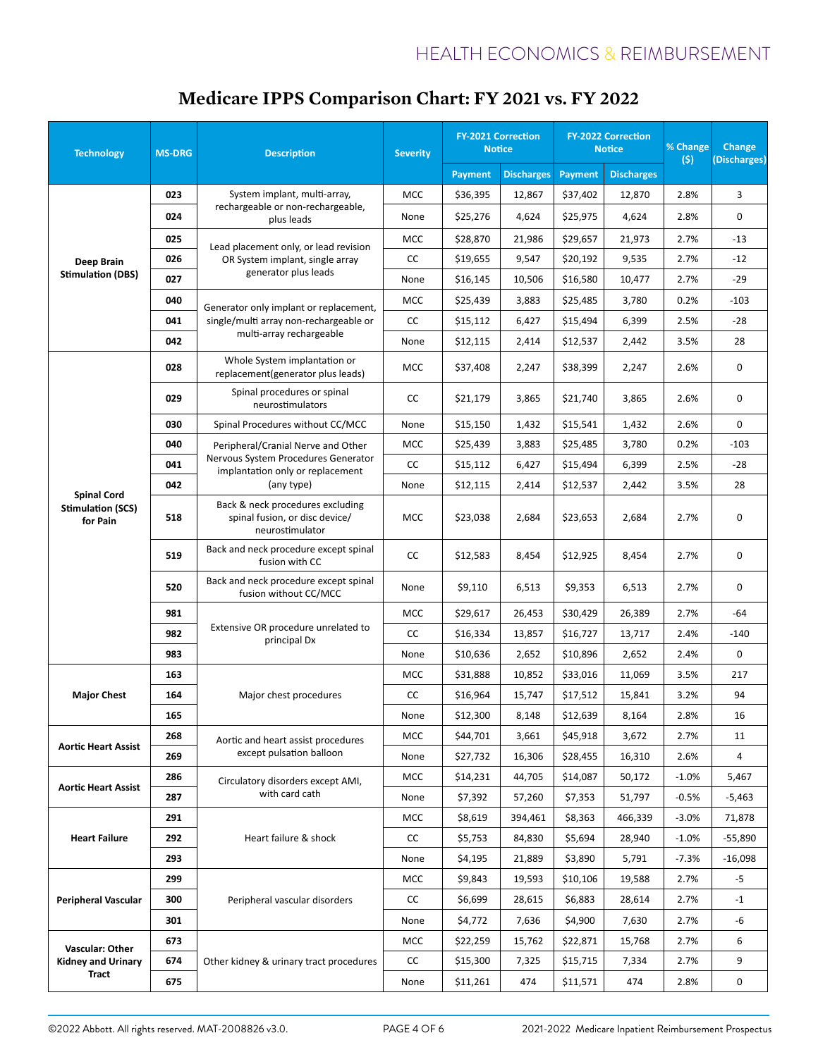#### **Technology MS-DRG Description Severity FY-2021 Correction Notice FY-2022 Correction Notice % Change (\$) Change (Discharges) Payment Discharges Payment Discharges Deep Brain Stimulation (DBS) 023** System implant, multi-array, rechargeable or non-rechargeable, plus leads MCC | \$36,395 | 12,867 | \$37,402 | 12,870 | 2.8% | 3 **024 Decision Industry of Strategies of None \$25,276 4,624 \$25,975 4,624 2.8% 0 025** Lead placement only, or lead revision **026** | OR System implant, single array | CC | \$19,655 | 9,547 | \$20,192 | 9,535 | 2.7% | -12 generator plus leads MCC | \$28,870 | 21,986 | \$29,657 | 21,973 | 2.7% | -13 **027** | Sendrator Providence | None | \$16,145 | 10,506 | \$16,580 | 10,477 | 2.7% | -29 **040** Generator only implant or replacement, **041** | single/multi array non-rechargeable or | CC | \$15,112 | 6,427 | \$15,494 | 6,399 | 2.5% | -28 multi-array rechargeable MCC | \$25,439 | 3,883 | \$25,485 | 3,780 | 0.2% | -103 **042 None \$12,115 2,414 \$12,537 2,442 3.5% 28 Spinal Cord Stimulation (SCS) for Pain 028** Whole System implantation or  $r$  whole system implantation of  $r$  MCC  $\left[\begin{array}{c|c} \text{ $>$37,408$} \end{array}\right]$  2,247  $\left[\begin{array}{c} \text{ $>$38,399$} \end{array}\right]$  2.247  $\left[\begin{array}{c} \text{ $2.6\%} \end{array}\right]$  0 **029** Spinal procedures or spinal neurostimulators  $\begin{vmatrix} CC & 521,179 & 3,865 & 521,740 & 3,865 \end{vmatrix}$  2.6% 0 **030** Spinal Procedures without CC/MCC None \$15,150 1,432 \$15,541 1,432 2.6% 0 **040** Peripheral/Cranial Nerve and Other Nervous System Procedures Generator 041 **CC**  $\begin{array}{|c|c|c|c|c|c|}\n\hline\n\text{15,12} & \text{6,427} & \text{5,494} & \text{6,399} & \text{2.5\%} & -28 \\
\hline\n\text{15,13,12} & \text{15,494} & \text{5,399} & \text{2.5\%} & -28 \\
\hline\n\end{array}$ (any type) MCC | \$25,439 | 3,883 | \$25,485 | 3,780 | 0.2% | -103 **042** None \$12,115 2,414 \$12,537 2,442 3.5% 28 **518** Back & neck procedures excluding spinal fusion, or disc device/ neurostimulator MCC | \$23,038 | 2,684 | \$23,653 | 2,684 | 2.7% | 0 **519** Back and neck procedure except spinal<br>fusion with CC  $f(x)$  Froscuard Except spinar  $\begin{vmatrix} CC & 512,583 & 8,454 & 512,925 & 8,454 \end{vmatrix}$  2.7% 0 **520** Back and neck procedure except spinal fusion without CC/MCC None \$9,110 6,513 \$9,353 6,513 2.7% <sup>0</sup> **981** Extensive OR procedure unrelated to principal Dx MCC | \$29,617 | 26,453 | \$30,429 | 26,389 | 2.7% | -64 **982 CALCISTRE OF PROCESSION** CC **6.000 STACIST 8.000 STACIST 8.000 STACIST 8.000 STACIST 8.000 STACIST 8.000 STACIST 8.000 STACIST 8.000 STACIST 8.000 STACIST 8.000 STACIST 8.000 STACIST 8.000 STACIST 8.000 STACIST 8.00 983** None \$10,636 2,652 \$10,896 2,652 2.652 2.4% 0 **Major Chest 163 164** | Major chest procedures | CC | \$16,964 | 15,747 | \$17,512 | 15,841 | 3.2% | 94 MCC | \$31,888 | 10,852 | \$33,016 | 11,069 | 3.5% | 217 **165** None \$12,300 8,148 \$12,639 8,164 2.8% 16 **Aortic Heart Assist 268** Aortic and heart assist procedures **269** Rexcept pulsation balloon  $\vert$  None  $\vert$  \$27,732 | 16,306 | \$28,455 | 16,310 | 2.6% | 4 MCC \$44,701 3,661 \$45,918 3,672 2.7% 11 **Aortic Heart Assist 286** Circulatory disorders except AMI, with card cath MCC | \$14,231 | 44,705 | \$14,087 | 50,172 | -1.0% | 5,467 **287** None | \$7,392 | \$7,353 | 51,797 | -0.5% | -5,463 **Heart Failure 291 292** | Heart failure & shock | CC | \$5,753 | 84,830 | \$5,694 | 28,940 | -1.0% | -55,890 MCC | \$8,619 | 394,461 | \$8,363 | 466,339 | -3.0% | 71,878 **293** | | None | \$4,195 | 21,889 | \$3,890 | 5,791 | -7.3% | -16,098 **Peripheral Vascular 299 300** | Peripheral vascular disorders | CC | \$6,699 | 28,615 | \$6,883 | 28,614 | 2.7% | -1 MCC | \$9,843 | 19,593 | \$10,106 | 19,588 | 2.7% | -5 **301** None | \$4,772 | 7,636 | \$4,900 | 7,630 | 2.7% | -6 **Vascular: Other Kidney and Urinary Tract 673 674** | Other kidney & urinary tract procedures | CC | \$15,300 | 7,325 | \$15,715 | 7,334 | 2.7% | 9 MCC | \$22,259 | 15,762 | \$22,871 | 15,768 | 2.7% | 6 **675** | | None | \$11,261 | 474 | \$11,571 | 474 | 2.8% | 0